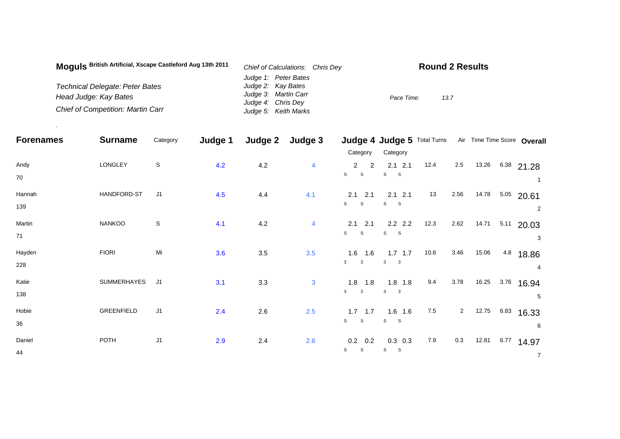| Moquis British Artificial, Xscape Castleford Aug 13th 2011 | Chief of Calculations: Chris Dey | <b>Round 2 Results</b> |
|------------------------------------------------------------|----------------------------------|------------------------|
|                                                            | Judge 1: Peter Bates             |                        |
| <b>Technical Delegate: Peter Bates</b>                     | Judge 2: Kay Bates               |                        |
| Head Judge: Kay Bates                                      | Judge 3: Martin Carr             | Pace Time:<br>13.7     |
|                                                            | Judge 4: Chris Dey               |                        |
| <b>Chief of Competition: Martin Carr</b>                   | Judge 5: Keith Marks             |                        |

.

| <b>Forenames</b> | <b>Surname</b> | Category       | Judge 1 | Judge 2 | Judge 3        |                                                             | Judge 4 Judge 5 Total Turns             |      |                |       |      | Air Time Time Score Overall |
|------------------|----------------|----------------|---------|---------|----------------|-------------------------------------------------------------|-----------------------------------------|------|----------------|-------|------|-----------------------------|
|                  |                |                |         |         |                | Category                                                    | Category                                |      |                |       |      |                             |
| Andy<br>70       | LONGLEY        | S              | 4.2     | 4.2     | $\overline{4}$ | $2^{\circ}$<br>$\overline{2}$<br>$\mathsf s$<br>$\mathsf S$ | $2.1$ 2.1<br>S<br>S                     | 12.4 | 2.5            | 13.26 |      | $6.38$ 21.28                |
| Hannah<br>139    | HANDFORD-ST    | J <sub>1</sub> | 4.5     | 4.4     | 4.1            | $2.1$ 2.1<br>S<br>$\mathsf S$                               | $2.1$ $2.1$<br>$\mathbf s$<br>S         | 13   | 2.56           | 14.78 | 5.05 | 20.61<br>2                  |
| Martin<br>71     | NANKOO         | $\mathsf S$    | 4.1     | 4.2     | $\overline{4}$ | $2.1$ 2.1<br>S<br>$\mathbb S$                               | $2.2$ 2.2<br>${\tt S}$<br>- S           | 12.3 | 2.62           | 14.71 | 5.11 | 20.03<br>3                  |
| Hayden<br>228    | <b>FIORI</b>   | Mi             | 3.6     | 3.5     | 3.5            | $1.6$ 1.6<br>3<br>$\mathbf{3}$                              | $1.7$ 1.7<br>3<br>$\overline{3}$        | 10.6 | 3.46           | 15.06 | 4.8  | 18.86<br>4                  |
| Katie<br>138     | SUMMERHAYES    | J <sub>1</sub> | 3.1     | 3.3     | $\mathbf{3}$   | $1.8$ 1.8<br>3<br>$\mathbf{3}$                              | $1.8$ 1.8<br>3<br>$\overline{3}$        | 9.4  | 3.78           | 16.25 | 3.76 | 16.94<br>5                  |
| Hobie<br>36      | GREENFIELD     | J1             | 2.4     | 2.6     | 2.5            | $1.7$ 1.7<br>$\mathsf{s}$<br>S                              | $1.6$ 1.6<br>$\mathbf s$<br>$\mathbf S$ | 7.5  | $\overline{2}$ | 12.75 | 6.83 | 16.33<br>6                  |
| Daniel<br>44     | POTH           | J <sub>1</sub> | 2.9     | 2.4     | 2.6            | 0.2<br>0.2<br>S<br>S                                        | $0.3$ 0.3<br>S<br>$\mathbf{s}$          | 7.9  | 0.3            | 12.81 | 6.77 | 14.97<br>$\overline{7}$     |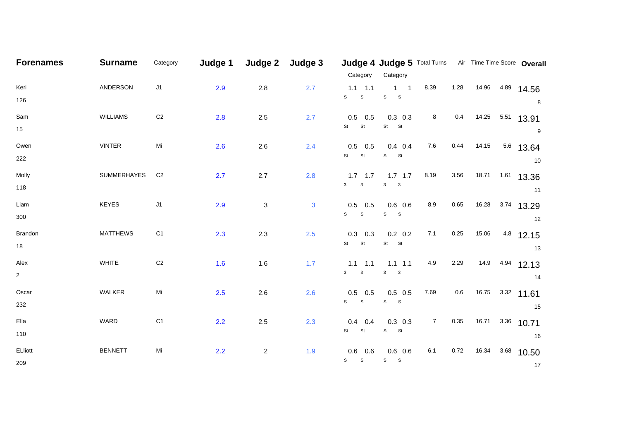| <b>Forenames</b> | <b>Surname</b>     | Category       | Judge 1 | Judge 2                   | Judge 3      |                     | Judge 4 Judge 5 Total Turns Air Time Time Score Overall |                |         |       |      |              |
|------------------|--------------------|----------------|---------|---------------------------|--------------|---------------------|---------------------------------------------------------|----------------|---------|-------|------|--------------|
|                  |                    |                |         |                           |              | Category            | Category                                                |                |         |       |      |              |
| Keri             | ANDERSON           | J1             | 2.9     | 2.8                       | 2.7          | $1.1$ 1.1           | $1 \quad 1$                                             | 8.39           | 1.28    | 14.96 | 4.89 | 14.56        |
| 126              |                    |                |         |                           |              | S<br>${\tt S}$      | ${\tt S}$<br>$\mathbf{s}$                               |                |         |       |      | 8            |
| Sam              | <b>WILLIAMS</b>    | $\mbox{C2}$    | 2.8     | $2.5\,$                   | 2.7          | $0.5$ 0.5           | $0.3$ 0.3                                               | 8              | 0.4     | 14.25 | 5.51 | 13.91        |
| 15               |                    |                |         |                           |              | St<br>St            | St St                                                   |                |         |       |      | 9            |
| Owen             | <b>VINTER</b>      | Mi             | 2.6     | 2.6                       | 2.4          | $0.5$ 0.5           | $0.4$ 0.4                                               | 7.6            | 0.44    | 14.15 |      | 5.6 13.64    |
| 222              |                    |                |         |                           |              | St<br>St            | St St                                                   |                |         |       |      | 10           |
| Molly            | <b>SUMMERHAYES</b> | C <sub>2</sub> | 2.7     | 2.7                       | 2.8          | $1.7$ 1.7           | $1.7$ 1.7                                               | 8.19           | 3.56    | 18.71 | 1.61 | 13.36        |
| 118              |                    |                |         |                           |              | $3 \qquad 3$        | $3 \qquad 3$                                            |                |         |       |      | 11           |
| Liam             | <b>KEYES</b>       | J1             | 2.9     | $\ensuremath{\mathsf{3}}$ | $\mathbf{3}$ | $0.5$ 0.5           | $0.6$ 0.6                                               | 8.9            | 0.65    | 16.28 | 3.74 | 13.29        |
| 300              |                    |                |         |                           |              | $S$ $S$             | $S$ $S$                                                 |                |         |       |      | 12           |
| Brandon          | <b>MATTHEWS</b>    | C <sub>1</sub> | 2.3     | 2.3                       | 2.5          | $0.3$ 0.3           | $0.2\quad 0.2$                                          | 7.1            | 0.25    | 15.06 | 4.8  | 12.15        |
| 18               |                    |                |         |                           |              | St St               | St St                                                   |                |         |       |      | 13           |
| Alex             | WHITE              | $\mbox{C2}$    | 1.6     | 1.6                       | 1.7          | $1.1$ 1.1           | $1.1 \quad 1.1$                                         | 4.9            | 2.29    | 14.9  | 4.94 | 12.13        |
| $\overline{2}$   |                    |                |         |                           |              | $3 \qquad 3$        | $3 \qquad 3$                                            |                |         |       |      | 14           |
| Oscar            | WALKER             | Mi             | 2.5     | 2.6                       | 2.6          | $0.5$ 0.5           | $0.5$ 0.5                                               | 7.69           | $0.6\,$ | 16.75 |      | $3.32$ 11.61 |
| 232              |                    |                |         |                           |              | S<br>S              | $S$ $S$                                                 |                |         |       |      | 15           |
| Ella             | WARD               | C <sub>1</sub> | 2.2     | $2.5\,$                   | 2.3          | 0.4<br>0.4          | $0.3$ 0.3                                               | $\overline{7}$ | 0.35    | 16.71 | 3.36 | 10.71        |
| 110              |                    |                |         |                           |              | <b>St</b><br>St     | St St                                                   |                |         |       |      | 16           |
| ELliott          | <b>BENNETT</b>     | Mi             | 2.2     | $\overline{c}$            | 1.9          | $0.6\,$<br>0.6      | $0.6$ 0.6                                               | 6.1            | 0.72    | 16.34 | 3.68 | 10.50        |
| 209              |                    |                |         |                           |              | ${\tt S}$ ${\tt S}$ | $S$ $S$                                                 |                |         |       |      | 17           |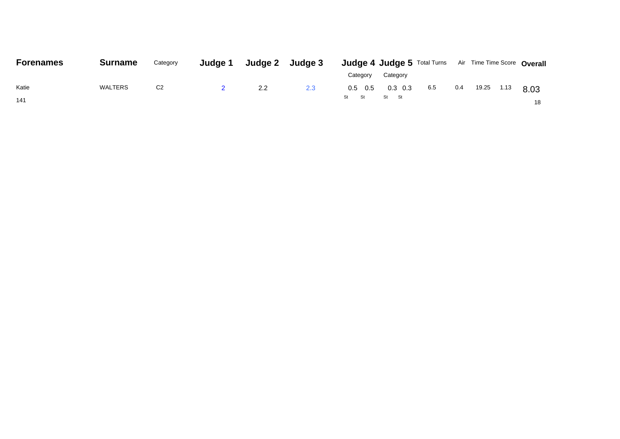| <b>Forenames</b> | <b>Surname</b> | Category       | Judge 1 |               | Judge 2 Judge 3 | <b>Judge 4 Judge 5</b> Total Turns Air Time Time Score Overall |      |
|------------------|----------------|----------------|---------|---------------|-----------------|----------------------------------------------------------------|------|
|                  |                |                |         |               |                 | Category<br>Category                                           |      |
| Katie            | WALTERS        | C <sub>2</sub> |         | $2.2^{\circ}$ | 2.3             | 19.25<br>$0.3\;0.3$<br>6.5<br>0.4<br>$0.5\quad 0.5$<br>1.13    | 8.03 |
| 141              |                |                |         |               |                 | St<br>St St<br>St St                                           | 18   |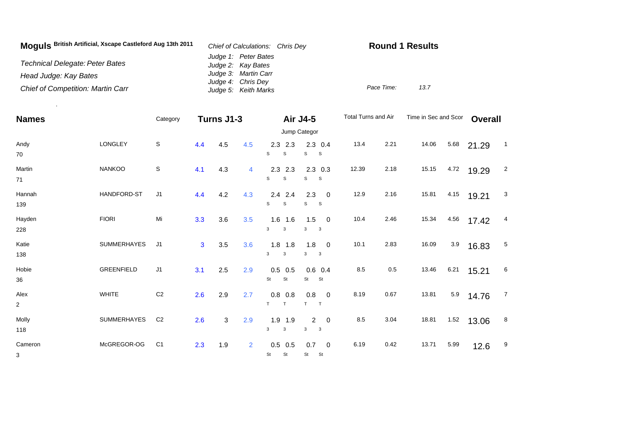| Moguls British Artificial, Xscape Castleford Aug 13th 2011 | Chief of Calculations: Chris Dev           | <b>Round 1 Results</b> |
|------------------------------------------------------------|--------------------------------------------|------------------------|
| <b>Technical Delegate: Peter Bates</b>                     | Judge 1: Peter Bates<br>Judge 2: Kay Bates |                        |
| Head Judge: Kay Bates                                      | Judge 3: Martin Carr                       |                        |
| <b>Chief of Competition: Martin Carr</b>                   | Judge 4: Chris Dey<br>Judge 5: Keith Marks | Pace Time:<br>13.7     |

.

| <b>Names</b>           |                   | Category       | Turns J1-3 |     |                |                                | Air J4-5                                                                  | Total Turns and Air |      | Time in Sec and Scor |      | <b>Overall</b> |                |
|------------------------|-------------------|----------------|------------|-----|----------------|--------------------------------|---------------------------------------------------------------------------|---------------------|------|----------------------|------|----------------|----------------|
|                        |                   |                |            |     |                | Jump Categor                   |                                                                           |                     |      |                      |      |                |                |
| Andy<br>70             | LONGLEY           | $\mathsf S$    | 4.4        | 4.5 | 4.5            | $2.3$ 2.3<br>S<br>S            | $2.3$ 0.4<br>s<br><b>S</b>                                                | 13.4                | 2.21 | 14.06                | 5.68 | 21.29          | $\mathbf{1}$   |
| Martin<br>71           | <b>NANKOO</b>     | $\mathsf S$    | 4.1        | 4.3 | $\overline{4}$ | 2.3<br>2.3<br>s<br>S           | $2.3$ 0.3<br>s<br><b>S</b>                                                | 12.39               | 2.18 | 15.15                | 4.72 | 19.29          | $\overline{c}$ |
| Hannah<br>139          | HANDFORD-ST       | J <sub>1</sub> | 4.4        | 4.2 | 4.3            | $2.4$ 2.4<br>S<br>$\mathbf S$  | 2.3<br>$\overline{\mathbf{0}}$<br>s<br><b>S</b>                           | 12.9                | 2.16 | 15.81                | 4.15 | 19.21          | 3              |
| Hayden<br>228          | <b>FIORI</b>      | Mi             | 3.3        | 3.6 | 3.5            | $1.6$ 1.6<br>3<br>3            | $1.5 \t 0$<br>3<br>$\overline{\mathbf{3}}$                                | 10.4                | 2.46 | 15.34                | 4.56 | 17.42          | 4              |
| Katie<br>138           | SUMMERHAYES       | J <sub>1</sub> | 3          | 3.5 | 3.6            | $1.8$ 1.8<br>3<br>$\mathbf{3}$ | $1.8 \t 0$<br>3<br>$\mathbf{3}$                                           | 10.1                | 2.83 | 16.09                | 3.9  | 16.83          | 5              |
| Hobie<br>36            | <b>GREENFIELD</b> | J1             | 3.1        | 2.5 | 2.9            | 0.5<br>0.5<br>St<br>St         | $0.6$ 0.4<br>St<br>St                                                     | $8.5\,$             | 0.5  | 13.46                | 6.21 | 15.21          | 6              |
| Alex<br>$\overline{2}$ | <b>WHITE</b>      | C <sub>2</sub> | 2.6        | 2.9 | 2.7            | $0.8\ 0.8$<br>T.<br>T          | $0.8 \ 0$<br>T<br>T                                                       | 8.19                | 0.67 | 13.81                | 5.9  | 14.76          | $\overline{7}$ |
| Molly<br>118           | SUMMERHAYES       | C <sub>2</sub> | 2.6        | 3   | 2.9            | $1.9$ 1.9<br>$\mathbf{3}$<br>3 | $\overline{2}$<br>$\overline{\mathbf{0}}$<br>$\overline{\mathbf{3}}$<br>3 | 8.5                 | 3.04 | 18.81                | 1.52 | 13.06          | 8              |
| Cameron<br>3           | McGREGOR-OG       | C <sub>1</sub> | 2.3        | 1.9 | $\overline{2}$ | $0.5$ 0.5<br>St<br>St          | 0.7<br>$\overline{0}$<br>St<br><b>St</b>                                  | 6.19                | 0.42 | 13.71                | 5.99 | 12.6           | 9              |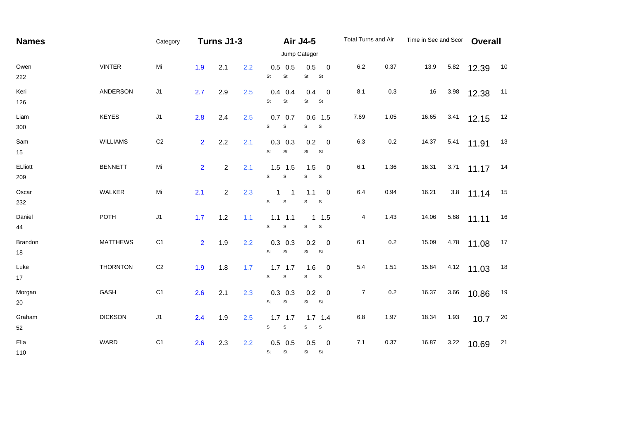| <b>Names</b>   |                 | Category       | Turns J1-3     |                |     |                                          | <b>Air J4-5</b>                                      | Total Turns and Air |         | Time in Sec and Scor |      | Overall |    |  |  |
|----------------|-----------------|----------------|----------------|----------------|-----|------------------------------------------|------------------------------------------------------|---------------------|---------|----------------------|------|---------|----|--|--|
|                |                 | Jump Categor   |                |                |     |                                          |                                                      |                     |         |                      |      |         |    |  |  |
| Owen<br>222    | <b>VINTER</b>   | Mi             | 1.9            | 2.1            | 2.2 | $0.5$ 0.5<br>St<br>St                    | 0.5<br>$\mathbf 0$<br><b>St</b><br>St                | 6.2                 | 0.37    | 13.9                 | 5.82 | 12.39   | 10 |  |  |
| Keri<br>126    | ANDERSON        | J1             | 2.7            | 2.9            | 2.5 | $0.4$ 0.4<br>St<br>St                    | 0.4<br>$\overline{\phantom{0}}$<br>St<br>St          | 8.1                 | 0.3     | 16                   | 3.98 | 12.38   | 11 |  |  |
| Liam<br>300    | <b>KEYES</b>    | J1             | 2.8            | 2.4            | 2.5 | $0.7$ 0.7<br>$\mathsf{s}$<br>S           | $0.6$ 1.5<br>S<br>S                                  | 7.69                | 1.05    | 16.65                | 3.41 | 12.15   | 12 |  |  |
| Sam<br>15      | WILLIAMS        | C <sub>2</sub> | $\overline{2}$ | 2.2            | 2.1 | $0.3$ 0.3<br>St<br>St                    | 0.2<br>$\overline{\phantom{0}}$<br>St<br>St          | 6.3                 | 0.2     | 14.37                | 5.41 | 11.91   | 13 |  |  |
| ELliott<br>209 | <b>BENNETT</b>  | Mi             | $\overline{2}$ | $\overline{2}$ | 2.1 | $1.5$ 1.5<br>$\mathsf{s}$<br>$\mathbb S$ | 1.5<br>$\overline{\phantom{0}}$<br>S<br>$\mathbf{s}$ | 6.1                 | 1.36    | 16.31                | 3.71 | 11.17   | 14 |  |  |
| Oscar<br>232   | WALKER          | Mi             | 2.1            | $\overline{2}$ | 2.3 | 1<br>-1<br>$\mathbb S$<br>S              | 1.1<br>$\overline{\phantom{0}}$<br>s<br>S            | 6.4                 | 0.94    | 16.21                | 3.8  | 11.14   | 15 |  |  |
| Daniel<br>44   | <b>POTH</b>     | J1             | 1.7            | 1.2            | 1.1 | $1.1$ 1.1<br>$\mathbb S$<br>S            | $1 \t1.5$<br>S<br>S                                  | 4                   | 1.43    | 14.06                | 5.68 | 11.11   | 16 |  |  |
| Brandon<br>18  | <b>MATTHEWS</b> | C <sub>1</sub> | $\overline{2}$ | 1.9            | 2.2 | $0.3$ 0.3<br>St<br>St                    | $0.2 \ 0$<br><b>St</b><br><b>St</b>                  | 6.1                 | $0.2\,$ | 15.09                | 4.78 | 11.08   | 17 |  |  |
| Luke<br>17     | <b>THORNTON</b> | C <sub>2</sub> | 1.9            | 1.8            | 1.7 | $1.7$ 1.7<br>$\mathbb S$<br>s            | $1.6 \t 0$<br>S<br>$\mathbf{s}$                      | 5.4                 | 1.51    | 15.84                | 4.12 | 11.03   | 18 |  |  |
| Morgan<br>20   | GASH            | C <sub>1</sub> | 2.6            | 2.1            | 2.3 | $0.3$ 0.3<br>St<br>St                    | $0.2 \ 0$<br>St St                                   | 7                   | $0.2\,$ | 16.37                | 3.66 | 10.86   | 19 |  |  |
| Graham<br>52   | <b>DICKSON</b>  | $\sf J1$       | 2.4            | 1.9            | 2.5 | $1.7$ 1.7<br>${\tt S}$<br>$\mathbb S$    | $1.7$ 1.4<br>S<br>$\mathbf{s}$                       | 6.8                 | 1.97    | 18.34                | 1.93 | 10.7    | 20 |  |  |
| Ella<br>110    | WARD            | C <sub>1</sub> | 2.6            | 2.3            | 2.2 | $0.5$ 0.5<br>St<br>St                    | 0.5<br>$\overline{\mathbf{0}}$<br>St St              | 7.1                 | 0.37    | 16.87                | 3.22 | 10.69   | 21 |  |  |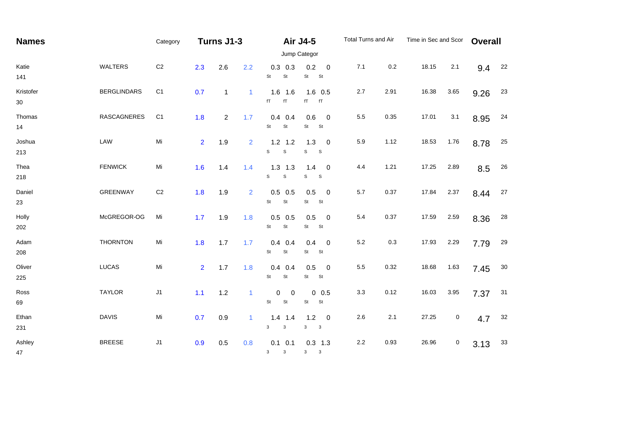| <b>Names</b>    |                    | Category       | Turns J1-3     |                |                |                                           | <b>Air J4-5</b><br>Jump Categor                                   | Total Turns and Air |      | Time in Sec and Scor |      | <b>Overall</b> |    |
|-----------------|--------------------|----------------|----------------|----------------|----------------|-------------------------------------------|-------------------------------------------------------------------|---------------------|------|----------------------|------|----------------|----|
| Katie<br>141    | <b>WALTERS</b>     | $\mbox{C2}$    | 2.3            | 2.6            | 2.2            | $0.3$ 0.3<br>$\mathsf{St}$<br>St          | 0.2<br>$\overline{0}$<br>St<br>St                                 | 7.1                 | 0.2  | 18.15                | 2.1  | 9.4            | 22 |
| Kristofer<br>30 | <b>BERGLINDARS</b> | C <sub>1</sub> | 0.7            | $\mathbf{1}$   | $\mathbf{1}$   | $1.6$ 1.6<br>fT<br>$\mathsf{f}\mathsf{T}$ | $1.6$ 0.5<br>fT<br>fT                                             | 2.7                 | 2.91 | 16.38                | 3.65 | 9.26           | 23 |
| Thomas<br>14    | <b>RASCAGNERES</b> | C <sub>1</sub> | 1.8            | $\overline{2}$ | 1.7            | $0.4$ 0.4<br>St<br>St                     | 0.6<br>$\overline{\phantom{0}}$<br>St<br>St                       | 5.5                 | 0.35 | 17.01                | 3.1  | 8.95           | 24 |
| Joshua<br>213   | LAW                | Mi             | $\overline{2}$ | 1.9            | $\overline{2}$ | $1.2$ 1.2<br>S<br>$\mathbf S$             | 1.3<br>$\overline{\mathbf{0}}$<br>S<br>$\mathsf{s}$               | 5.9                 | 1.12 | 18.53                | 1.76 | 8.78           | 25 |
| Thea<br>218     | <b>FENWICK</b>     | Mi             | 1.6            | 1.4            | 1.4            | $1.3$ $1.3$<br>S<br>$\mathbf S$           | 1.4<br>$\overline{\phantom{0}}$<br>$\mathsf{s}$<br>S              | 4.4                 | 1.21 | 17.25                | 2.89 | 8.5            | 26 |
| Daniel<br>23    | GREENWAY           | C <sub>2</sub> | 1.8            | 1.9            | 2              | $0.5$ 0.5<br>St<br>St                     | 0.5<br>$\overline{\phantom{0}}$<br>St<br>St                       | 5.7                 | 0.37 | 17.84                | 2.37 | 8.44           | 27 |
| Holly<br>202    | McGREGOR-OG        | Mi             | 1.7            | 1.9            | 1.8            | $0.5$ 0.5<br>St<br>St                     | 0.5<br>$\overline{\phantom{0}}$<br>St<br>St                       | 5.4                 | 0.37 | 17.59                | 2.59 | 8.36           | 28 |
| Adam<br>208     | <b>THORNTON</b>    | Mi             | 1.8            | 1.7            | 1.7            | $0.4$ 0.4<br>St<br>$\mathsf{St}$          | 0.4 0<br>St<br><b>St</b>                                          | 5.2                 | 0.3  | 17.93                | 2.29 | 7.79           | 29 |
| Oliver<br>225   | <b>LUCAS</b>       | Mi             | $\overline{2}$ | 1.7            | 1.8            | $0.4$ 0.4<br>St<br>St                     | 0.5<br>$\overline{\phantom{0}}$<br>St<br>St                       | 5.5                 | 0.32 | 18.68                | 1.63 | 7.45           | 30 |
| Ross<br>69      | <b>TAYLOR</b>      | J1             | 1.1            | 1.2            | $\mathbf{1}$   | $\mathbf 0$<br>$\mathbf 0$<br>St<br>St    | $0\ 0.5$<br>St<br>St                                              | 3.3                 | 0.12 | 16.03                | 3.95 | 7.37           | 31 |
| Ethan<br>231    | <b>DAVIS</b>       | Mi             | 0.7            | 0.9            | $\mathbf{1}$   | $1.4$ 1.4<br>$\mathsf 3$<br>3             | $1.2$<br>$\overline{\phantom{0}}$<br>3<br>$\overline{\mathbf{3}}$ | 2.6                 | 2.1  | 27.25                | 0    | 4.7            | 32 |
| Ashley<br>47    | <b>BREESE</b>      | J1             | 0.9            | 0.5            | 0.8            | $0.1 \quad 0.1$<br>3<br>$\mathbf{3}$      | $0.3$ 1.3<br>3 <sup>7</sup><br>$\mathbf{3}$                       | $2.2\,$             | 0.93 | 26.96                | 0    | 3.13           | 33 |